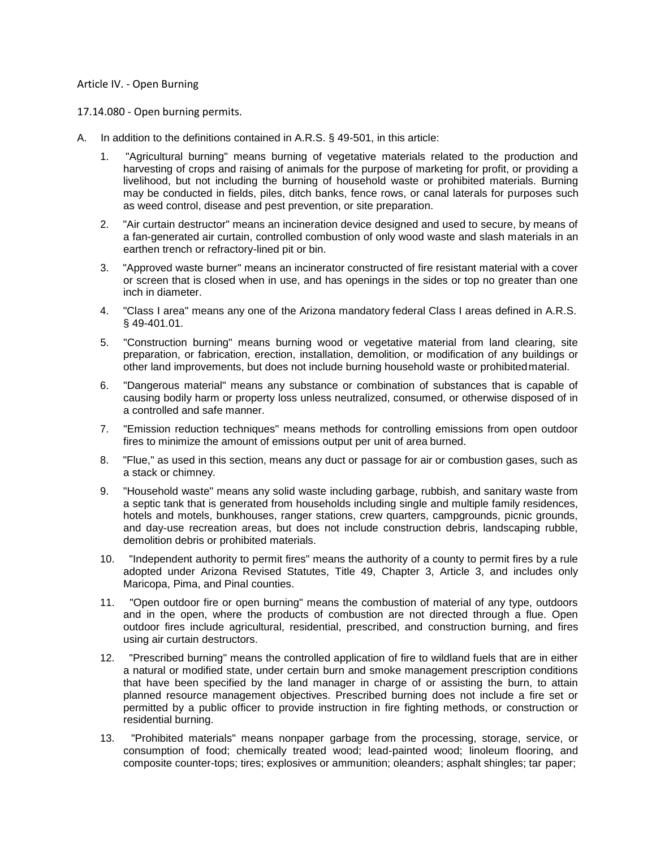## Article IV. - Open Burning

17.14.080 - Open burning permits.

- A. In addition to the definitions contained in A.R.S. § 49-501, in this article:
	- 1. "Agricultural burning" means burning of vegetative materials related to the production and harvesting of crops and raising of animals for the purpose of marketing for profit, or providing a livelihood, but not including the burning of household waste or prohibited materials. Burning may be conducted in fields, piles, ditch banks, fence rows, or canal laterals for purposes such as weed control, disease and pest prevention, or site preparation.
	- 2. "Air curtain destructor" means an incineration device designed and used to secure, by means of a fan-generated air curtain, controlled combustion of only wood waste and slash materials in an earthen trench or refractory-lined pit or bin.
	- 3. "Approved waste burner" means an incinerator constructed of fire resistant material with a cover or screen that is closed when in use, and has openings in the sides or top no greater than one inch in diameter.
	- 4. "Class I area" means any one of the Arizona mandatory federal Class I areas defined in A.R.S. § 49-401.01.
	- 5. "Construction burning" means burning wood or vegetative material from land clearing, site preparation, or fabrication, erection, installation, demolition, or modification of any buildings or other land improvements, but does not include burning household waste or prohibitedmaterial.
	- 6. "Dangerous material" means any substance or combination of substances that is capable of causing bodily harm or property loss unless neutralized, consumed, or otherwise disposed of in a controlled and safe manner.
	- 7. "Emission reduction techniques" means methods for controlling emissions from open outdoor fires to minimize the amount of emissions output per unit of area burned.
	- 8. "Flue," as used in this section, means any duct or passage for air or combustion gases, such as a stack or chimney.
	- 9. "Household waste" means any solid waste including garbage, rubbish, and sanitary waste from a septic tank that is generated from households including single and multiple family residences, hotels and motels, bunkhouses, ranger stations, crew quarters, campgrounds, picnic grounds, and day-use recreation areas, but does not include construction debris, landscaping rubble, demolition debris or prohibited materials.
	- 10. "Independent authority to permit fires" means the authority of a county to permit fires by a rule adopted under Arizona Revised Statutes, Title 49, Chapter 3, Article 3, and includes only Maricopa, Pima, and Pinal counties.
	- 11. "Open outdoor fire or open burning" means the combustion of material of any type, outdoors and in the open, where the products of combustion are not directed through a flue. Open outdoor fires include agricultural, residential, prescribed, and construction burning, and fires using air curtain destructors.
	- 12. "Prescribed burning" means the controlled application of fire to wildland fuels that are in either a natural or modified state, under certain burn and smoke management prescription conditions that have been specified by the land manager in charge of or assisting the burn, to attain planned resource management objectives. Prescribed burning does not include a fire set or permitted by a public officer to provide instruction in fire fighting methods, or construction or residential burning.
	- 13. "Prohibited materials" means nonpaper garbage from the processing, storage, service, or consumption of food; chemically treated wood; lead-painted wood; linoleum flooring, and composite counter-tops; tires; explosives or ammunition; oleanders; asphalt shingles; tar paper;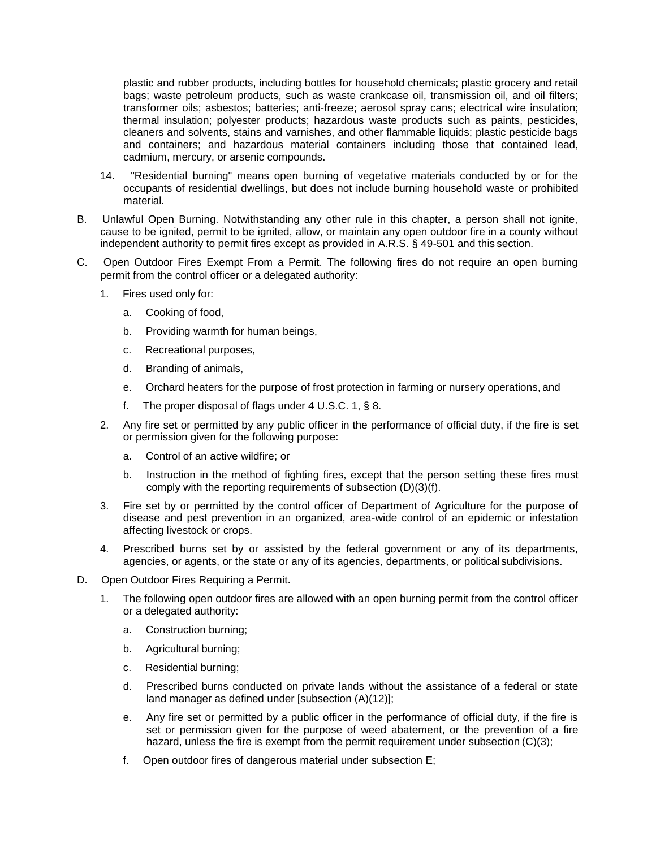plastic and rubber products, including bottles for household chemicals; plastic grocery and retail bags; waste petroleum products, such as waste crankcase oil, transmission oil, and oil filters; transformer oils; asbestos; batteries; anti-freeze; aerosol spray cans; electrical wire insulation; thermal insulation; polyester products; hazardous waste products such as paints, pesticides, cleaners and solvents, stains and varnishes, and other flammable liquids; plastic pesticide bags and containers; and hazardous material containers including those that contained lead, cadmium, mercury, or arsenic compounds.

- 14. "Residential burning" means open burning of vegetative materials conducted by or for the occupants of residential dwellings, but does not include burning household waste or prohibited material.
- B. Unlawful Open Burning. Notwithstanding any other rule in this chapter, a person shall not ignite, cause to be ignited, permit to be ignited, allow, or maintain any open outdoor fire in a county without independent authority to permit fires except as provided in A.R.S. § 49-501 and this section.
- C. Open Outdoor Fires Exempt From a Permit. The following fires do not require an open burning permit from the control officer or a delegated authority:
	- 1. Fires used only for:
		- a. Cooking of food,
		- b. Providing warmth for human beings,
		- c. Recreational purposes,
		- d. Branding of animals,
		- e. Orchard heaters for the purpose of frost protection in farming or nursery operations, and
		- f. The proper disposal of flags under 4 U.S.C. 1, § 8.
	- 2. Any fire set or permitted by any public officer in the performance of official duty, if the fire is set or permission given for the following purpose:
		- a. Control of an active wildfire; or
		- b. Instruction in the method of fighting fires, except that the person setting these fires must comply with the reporting requirements of subsection (D)(3)(f).
	- 3. Fire set by or permitted by the control officer of Department of Agriculture for the purpose of disease and pest prevention in an organized, area-wide control of an epidemic or infestation affecting livestock or crops.
	- 4. Prescribed burns set by or assisted by the federal government or any of its departments, agencies, or agents, or the state or any of its agencies, departments, or political subdivisions.
- D. Open Outdoor Fires Requiring a Permit.
	- 1. The following open outdoor fires are allowed with an open burning permit from the control officer or a delegated authority:
		- a. Construction burning;
		- b. Agricultural burning;
		- c. Residential burning;
		- d. Prescribed burns conducted on private lands without the assistance of a federal or state land manager as defined under [subsection (A)(12)];
		- e. Any fire set or permitted by a public officer in the performance of official duty, if the fire is set or permission given for the purpose of weed abatement, or the prevention of a fire hazard, unless the fire is exempt from the permit requirement under subsection (C)(3);
		- f. Open outdoor fires of dangerous material under subsection E;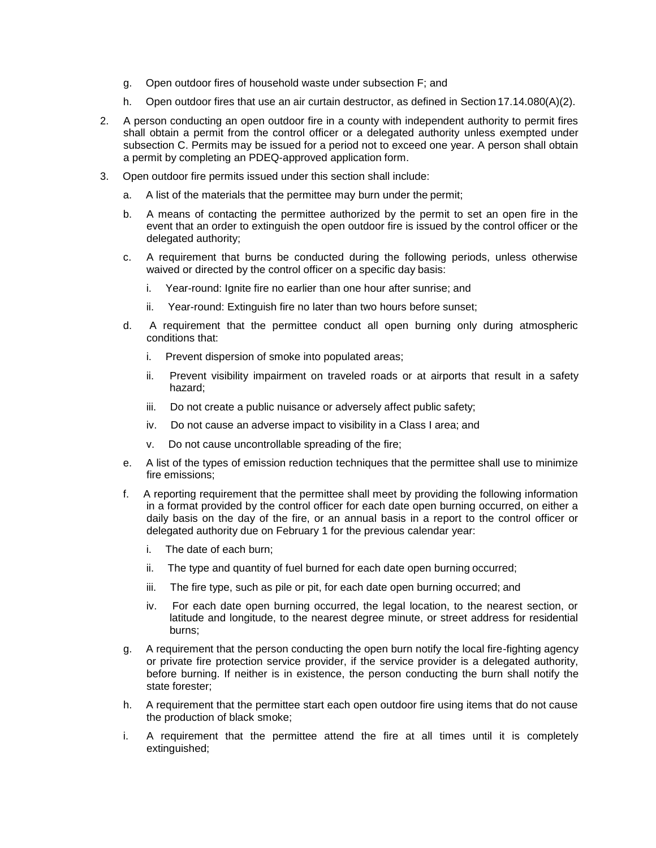- g. Open outdoor fires of household waste under subsection F; and
- h. Open outdoor fires that use an air curtain destructor, as defined in Section 17.14.080(A)(2).
- 2. A person conducting an open outdoor fire in a county with independent authority to permit fires shall obtain a permit from the control officer or a delegated authority unless exempted under subsection C. Permits may be issued for a period not to exceed one year. A person shall obtain a permit by completing an PDEQ-approved application form.
- 3. Open outdoor fire permits issued under this section shall include:
	- a. A list of the materials that the permittee may burn under the permit;
	- b. A means of contacting the permittee authorized by the permit to set an open fire in the event that an order to extinguish the open outdoor fire is issued by the control officer or the delegated authority;
	- c. A requirement that burns be conducted during the following periods, unless otherwise waived or directed by the control officer on a specific day basis:
		- i. Year-round: Ignite fire no earlier than one hour after sunrise; and
		- ii. Year-round: Extinguish fire no later than two hours before sunset;
	- d. A requirement that the permittee conduct all open burning only during atmospheric conditions that:
		- i. Prevent dispersion of smoke into populated areas;
		- ii. Prevent visibility impairment on traveled roads or at airports that result in a safety hazard;
		- iii. Do not create a public nuisance or adversely affect public safety;
		- iv. Do not cause an adverse impact to visibility in a Class I area; and
		- v. Do not cause uncontrollable spreading of the fire;
	- e. A list of the types of emission reduction techniques that the permittee shall use to minimize fire emissions;
	- f. A reporting requirement that the permittee shall meet by providing the following information in a format provided by the control officer for each date open burning occurred, on either a daily basis on the day of the fire, or an annual basis in a report to the control officer or delegated authority due on February 1 for the previous calendar year:
		- i. The date of each burn;
		- ii. The type and quantity of fuel burned for each date open burning occurred;
		- iii. The fire type, such as pile or pit, for each date open burning occurred; and
		- iv. For each date open burning occurred, the legal location, to the nearest section, or latitude and longitude, to the nearest degree minute, or street address for residential burns;
	- g. A requirement that the person conducting the open burn notify the local fire-fighting agency or private fire protection service provider, if the service provider is a delegated authority, before burning. If neither is in existence, the person conducting the burn shall notify the state forester;
	- h. A requirement that the permittee start each open outdoor fire using items that do not cause the production of black smoke;
	- i. A requirement that the permittee attend the fire at all times until it is completely extinguished;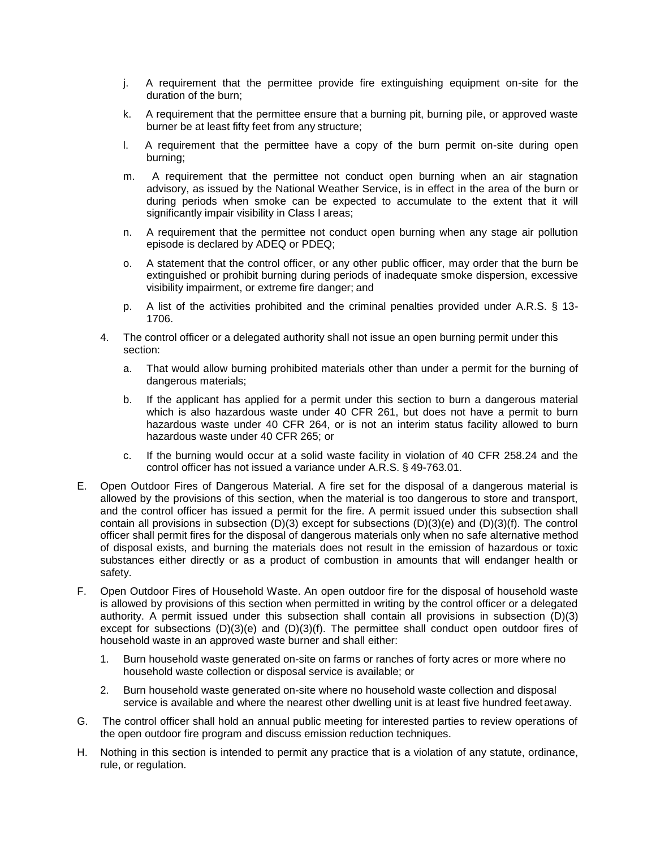- j. A requirement that the permittee provide fire extinguishing equipment on-site for the duration of the burn;
- k. A requirement that the permittee ensure that a burning pit, burning pile, or approved waste burner be at least fifty feet from any structure;
- l. A requirement that the permittee have a copy of the burn permit on-site during open burning;
- m. A requirement that the permittee not conduct open burning when an air stagnation advisory, as issued by the National Weather Service, is in effect in the area of the burn or during periods when smoke can be expected to accumulate to the extent that it will significantly impair visibility in Class I areas;
- n. A requirement that the permittee not conduct open burning when any stage air pollution episode is declared by ADEQ or PDEQ;
- o. A statement that the control officer, or any other public officer, may order that the burn be extinguished or prohibit burning during periods of inadequate smoke dispersion, excessive visibility impairment, or extreme fire danger; and
- p. A list of the activities prohibited and the criminal penalties provided under A.R.S. § 13- 1706.
- 4. The control officer or a delegated authority shall not issue an open burning permit under this section:
	- a. That would allow burning prohibited materials other than under a permit for the burning of dangerous materials;
	- b. If the applicant has applied for a permit under this section to burn a dangerous material which is also hazardous waste under 40 CFR 261, but does not have a permit to burn hazardous waste under 40 CFR 264, or is not an interim status facility allowed to burn hazardous waste under 40 CFR 265; or
	- c. If the burning would occur at a solid waste facility in violation of 40 CFR 258.24 and the control officer has not issued a variance under A.R.S. § 49-763.01.
- E. Open Outdoor Fires of Dangerous Material. A fire set for the disposal of a dangerous material is allowed by the provisions of this section, when the material is too dangerous to store and transport, and the control officer has issued a permit for the fire. A permit issued under this subsection shall contain all provisions in subsection (D)(3) except for subsections (D)(3)(e) and (D)(3)(f). The control officer shall permit fires for the disposal of dangerous materials only when no safe alternative method of disposal exists, and burning the materials does not result in the emission of hazardous or toxic substances either directly or as a product of combustion in amounts that will endanger health or safety.
- F. Open Outdoor Fires of Household Waste. An open outdoor fire for the disposal of household waste is allowed by provisions of this section when permitted in writing by the control officer or a delegated authority. A permit issued under this subsection shall contain all provisions in subsection (D)(3) except for subsections  $(D)(3)(e)$  and  $(D)(3)(f)$ . The permittee shall conduct open outdoor fires of household waste in an approved waste burner and shall either:
	- 1. Burn household waste generated on-site on farms or ranches of forty acres or more where no household waste collection or disposal service is available; or
	- 2. Burn household waste generated on-site where no household waste collection and disposal service is available and where the nearest other dwelling unit is at least five hundred feetaway.
- G. The control officer shall hold an annual public meeting for interested parties to review operations of the open outdoor fire program and discuss emission reduction techniques.
- H. Nothing in this section is intended to permit any practice that is a violation of any statute, ordinance, rule, or regulation.